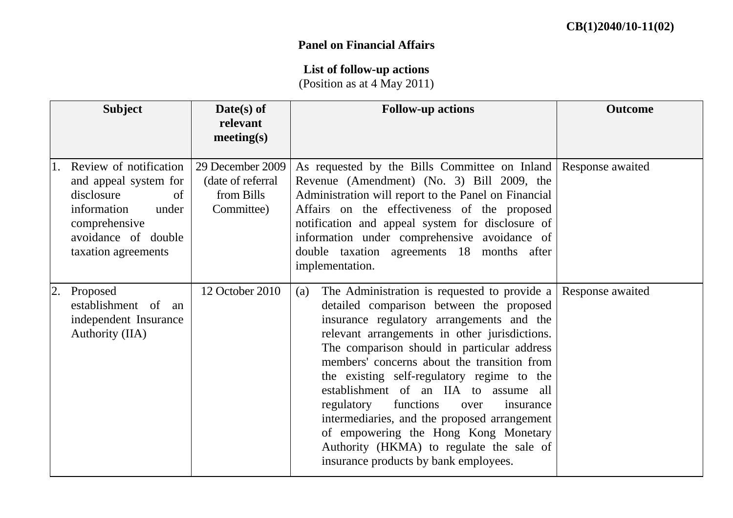## **Panel on Financial Affairs**

## **List of follow-up actions**

(Position as at 4 May 2011)

|    | <b>Subject</b>                                                                                                                                             | $\textbf{Date}(s)$ of<br>relevant<br>meeting(s)                    | <b>Follow-up actions</b>                                                                                                                                                                                                                                                                                                                                                                                                                                                                                                                                                                                                | <b>Outcome</b>   |
|----|------------------------------------------------------------------------------------------------------------------------------------------------------------|--------------------------------------------------------------------|-------------------------------------------------------------------------------------------------------------------------------------------------------------------------------------------------------------------------------------------------------------------------------------------------------------------------------------------------------------------------------------------------------------------------------------------------------------------------------------------------------------------------------------------------------------------------------------------------------------------------|------------------|
| 1. | Review of notification<br>and appeal system for<br>disclosure<br>of<br>information<br>under<br>comprehensive<br>avoidance of double<br>taxation agreements | 29 December 2009<br>(date of referral)<br>from Bills<br>Committee) | As requested by the Bills Committee on Inland Response awaited<br>Revenue (Amendment) (No. 3) Bill 2009, the<br>Administration will report to the Panel on Financial<br>Affairs on the effectiveness of the proposed<br>notification and appeal system for disclosure of<br>information under comprehensive avoidance of<br>double taxation agreements 18 months after<br>implementation.                                                                                                                                                                                                                               |                  |
| 2. | Proposed<br>establishment of an<br>independent Insurance<br>Authority (IIA)                                                                                | 12 October 2010                                                    | The Administration is requested to provide a $\vert$<br>(a)<br>detailed comparison between the proposed<br>insurance regulatory arrangements and the<br>relevant arrangements in other jurisdictions.<br>The comparison should in particular address<br>members' concerns about the transition from<br>the existing self-regulatory regime to the<br>establishment of an IIA to assume all<br>functions<br>regulatory<br>insurance<br>over<br>intermediaries, and the proposed arrangement<br>of empowering the Hong Kong Monetary<br>Authority (HKMA) to regulate the sale of<br>insurance products by bank employees. | Response awaited |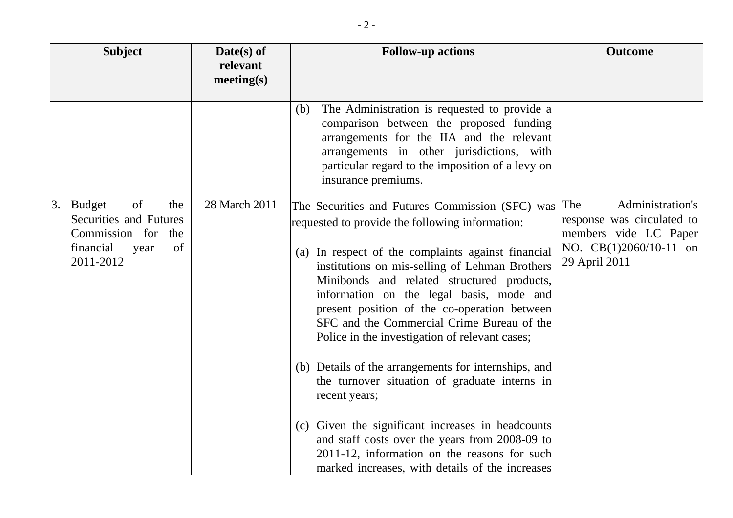| <b>Subject</b>                                                                                                                  | $Date(s)$ of<br>relevant<br>meeting(s) | <b>Follow-up actions</b>                                                                                                                                                                                                                                                                                                                                                                                                                                                                                                                                                                                                                                                                                                                                                                 | <b>Outcome</b>                                                                                                            |
|---------------------------------------------------------------------------------------------------------------------------------|----------------------------------------|------------------------------------------------------------------------------------------------------------------------------------------------------------------------------------------------------------------------------------------------------------------------------------------------------------------------------------------------------------------------------------------------------------------------------------------------------------------------------------------------------------------------------------------------------------------------------------------------------------------------------------------------------------------------------------------------------------------------------------------------------------------------------------------|---------------------------------------------------------------------------------------------------------------------------|
|                                                                                                                                 |                                        | The Administration is requested to provide a<br>(b)<br>comparison between the proposed funding<br>arrangements for the IIA and the relevant<br>arrangements in other jurisdictions, with<br>particular regard to the imposition of a levy on<br>insurance premiums.                                                                                                                                                                                                                                                                                                                                                                                                                                                                                                                      |                                                                                                                           |
| of<br><b>Budget</b><br>3.<br>the<br><b>Securities and Futures</b><br>Commission for the<br>financial<br>of<br>year<br>2011-2012 | 28 March 2011                          | The Securities and Futures Commission (SFC) was<br>requested to provide the following information:<br>(a) In respect of the complaints against financial<br>institutions on mis-selling of Lehman Brothers<br>Minibonds and related structured products,<br>information on the legal basis, mode and<br>present position of the co-operation between<br>SFC and the Commercial Crime Bureau of the<br>Police in the investigation of relevant cases;<br>(b) Details of the arrangements for internships, and<br>the turnover situation of graduate interns in<br>recent years;<br>(c) Given the significant increases in headcounts<br>and staff costs over the years from 2008-09 to<br>2011-12, information on the reasons for such<br>marked increases, with details of the increases | Administration's<br>The<br>response was circulated to<br>members vide LC Paper<br>NO. CB(1)2060/10-11 on<br>29 April 2011 |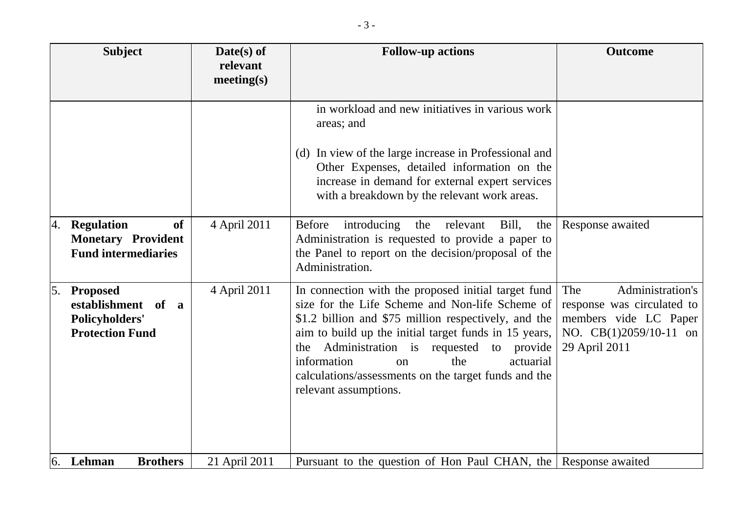|               | <b>Subject</b>                                                                            | $Date(s)$ of<br>relevant<br>meeting(s) | <b>Follow-up actions</b>                                                                                                                                                                                                                                                                                                                                                                           | <b>Outcome</b>                                                                                                            |
|---------------|-------------------------------------------------------------------------------------------|----------------------------------------|----------------------------------------------------------------------------------------------------------------------------------------------------------------------------------------------------------------------------------------------------------------------------------------------------------------------------------------------------------------------------------------------------|---------------------------------------------------------------------------------------------------------------------------|
|               |                                                                                           |                                        | in workload and new initiatives in various work<br>areas; and<br>(d) In view of the large increase in Professional and<br>Other Expenses, detailed information on the<br>increase in demand for external expert services<br>with a breakdown by the relevant work areas.                                                                                                                           |                                                                                                                           |
| <sup>4.</sup> | <b>Regulation</b><br><b>of</b><br><b>Monetary Provident</b><br><b>Fund intermediaries</b> | 4 April 2011                           | <b>Before</b><br>introducing<br>relevant<br>Bill,<br>the<br>the<br>Administration is requested to provide a paper to<br>the Panel to report on the decision/proposal of the<br>Administration.                                                                                                                                                                                                     | Response awaited                                                                                                          |
| 5.            | <b>Proposed</b><br>establishment of a<br><b>Policyholders'</b><br><b>Protection Fund</b>  | 4 April 2011                           | In connection with the proposed initial target fund<br>size for the Life Scheme and Non-life Scheme of<br>\$1.2 billion and \$75 million respectively, and the<br>aim to build up the initial target funds in 15 years,<br>Administration is requested to provide<br>the<br>the<br>information<br>actuarial<br>on<br>calculations/assessments on the target funds and the<br>relevant assumptions. | Administration's<br>The<br>response was circulated to<br>members vide LC Paper<br>NO. CB(1)2059/10-11 on<br>29 April 2011 |
|               | $6.$ Lehman<br><b>Brothers</b>                                                            | 21 April 2011                          | Pursuant to the question of Hon Paul CHAN, the Response awaited                                                                                                                                                                                                                                                                                                                                    |                                                                                                                           |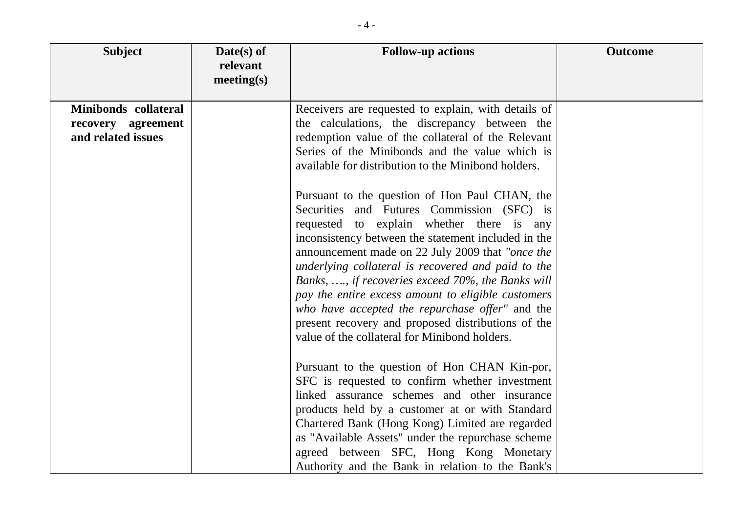| <b>Subject</b>                                                   | Date(s) of<br>relevant<br>meeting(s) | <b>Follow-up actions</b>                                                                                                                                                                                                                                                                                                                                                                                                                                                                                                                                                        | <b>Outcome</b> |
|------------------------------------------------------------------|--------------------------------------|---------------------------------------------------------------------------------------------------------------------------------------------------------------------------------------------------------------------------------------------------------------------------------------------------------------------------------------------------------------------------------------------------------------------------------------------------------------------------------------------------------------------------------------------------------------------------------|----------------|
| Minibonds collateral<br>recovery agreement<br>and related issues |                                      | Receivers are requested to explain, with details of<br>the calculations, the discrepancy between the<br>redemption value of the collateral of the Relevant<br>Series of the Minibonds and the value which is<br>available for distribution to the Minibond holders.                                                                                                                                                                                                                                                                                                             |                |
|                                                                  |                                      | Pursuant to the question of Hon Paul CHAN, the<br>Securities and Futures Commission (SFC) is<br>requested to explain whether there is any<br>inconsistency between the statement included in the<br>announcement made on 22 July 2009 that "once the<br>underlying collateral is recovered and paid to the<br>Banks, , if recoveries exceed 70%, the Banks will<br>pay the entire excess amount to eligible customers<br>who have accepted the repurchase offer" and the<br>present recovery and proposed distributions of the<br>value of the collateral for Minibond holders. |                |
|                                                                  |                                      | Pursuant to the question of Hon CHAN Kin-por,<br>SFC is requested to confirm whether investment<br>linked assurance schemes and other insurance<br>products held by a customer at or with Standard<br>Chartered Bank (Hong Kong) Limited are regarded<br>as "Available Assets" under the repurchase scheme<br>agreed between SFC, Hong Kong Monetary<br>Authority and the Bank in relation to the Bank's                                                                                                                                                                        |                |